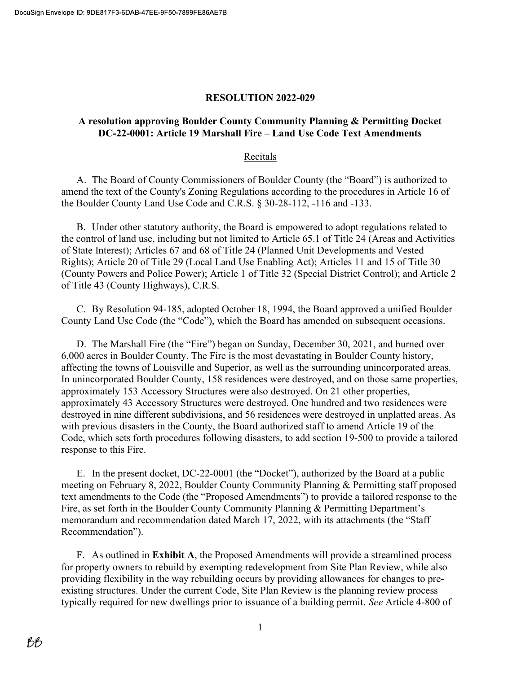### RESOLUTION 2022-029

## A resolution approving Boulder County Community Planning & Permitting Docket DC-22-0001: Article 19 Marshall Fire – Land Use Code Text Amendments

#### Recitals

A. The Board of County Commissioners of Boulder County (the "Board") is authorized to amend the text of the County's Zoning Regulations according to the procedures in Article 16 of the Boulder County Land Use Code and C.R.S. § 30-28-112, -116 and -133.

B. Under other statutory authority, the Board is empowered to adopt regulations related to the control of land use, including but not limited to Article 65.1 of Title 24 (Areas and Activities of State Interest); Articles 67 and 68 of Title 24 (Planned Unit Developments and Vested Rights); Article 20 of Title 29 (Local Land Use Enabling Act); Articles 11 and 15 of Title 30 (County Powers and Police Power); Article 1 of Title 32 (Special District Control); and Article 2 of Title 43 (County Highways), C.R.S.

C. By Resolution 94-185, adopted October 18, 1994, the Board approved a unified Boulder County Land Use Code (the "Code"), which the Board has amended on subsequent occasions.

D. The Marshall Fire (the "Fire") began on Sunday, December 30, 2021, and burned over 6,000 acres in Boulder County. The Fire is the most devastating in Boulder County history, affecting the towns of Louisville and Superior, as well as the surrounding unincorporated areas. In unincorporated Boulder County, 158 residences were destroyed, and on those same properties, approximately 153 Accessory Structures were also destroyed. On 21 other properties, approximately 43 Accessory Structures were destroyed. One hundred and two residences were destroyed in nine different subdivisions, and 56 residences were destroyed in unplatted areas. As with previous disasters in the County, the Board authorized staff to amend Article 19 of the Code, which sets forth procedures following disasters, to add section 19-500 to provide a tailored response to this Fire.

E. In the present docket, DC-22-0001 (the "Docket"), authorized by the Board at a public meeting on February 8, 2022, Boulder County Community Planning & Permitting staff proposed text amendments to the Code (the "Proposed Amendments") to provide a tailored response to the Fire, as set forth in the Boulder County Community Planning & Permitting Department's memorandum and recommendation dated March 17, 2022, with its attachments (the "Staff Recommendation").

F. As outlined in Exhibit A, the Proposed Amendments will provide a streamlined process for property owners to rebuild by exempting redevelopment from Site Plan Review, while also providing flexibility in the way rebuilding occurs by providing allowances for changes to preexisting structures. Under the current Code, Site Plan Review is the planning review process typically required for new dwellings prior to issuance of a building permit. See Article 4-800 of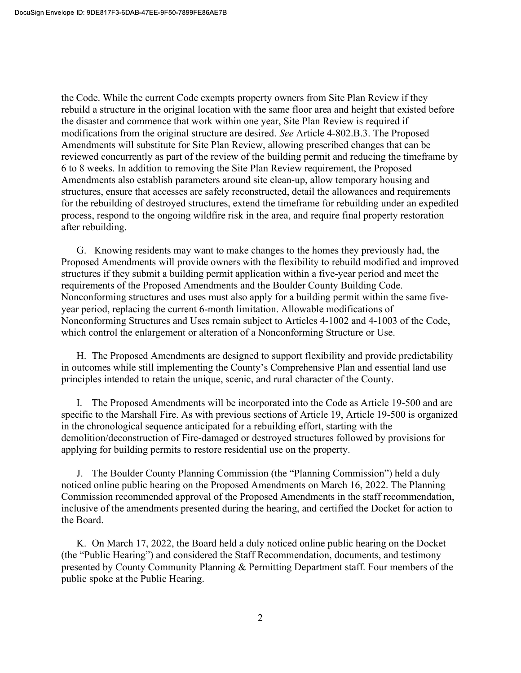the Code. While the current Code exempts property owners from Site Plan Review if they rebuild a structure in the original location with the same floor area and height that existed before the disaster and commence that work within one year, Site Plan Review is required if modifications from the original structure are desired. See Article 4-802.B.3. The Proposed Amendments will substitute for Site Plan Review, allowing prescribed changes that can be reviewed concurrently as part of the review of the building permit and reducing the timeframe by 6 to 8 weeks. In addition to removing the Site Plan Review requirement, the Proposed Amendments also establish parameters around site clean-up, allow temporary housing and structures, ensure that accesses are safely reconstructed, detail the allowances and requirements for the rebuilding of destroyed structures, extend the timeframe for rebuilding under an expedited process, respond to the ongoing wildfire risk in the area, and require final property restoration after rebuilding.

G. Knowing residents may want to make changes to the homes they previously had, the Proposed Amendments will provide owners with the flexibility to rebuild modified and improved structures if they submit a building permit application within a five-year period and meet the requirements of the Proposed Amendments and the Boulder County Building Code. Nonconforming structures and uses must also apply for a building permit within the same fiveyear period, replacing the current 6-month limitation. Allowable modifications of Nonconforming Structures and Uses remain subject to Articles 4-1002 and 4-1003 of the Code, which control the enlargement or alteration of a Nonconforming Structure or Use.

H. The Proposed Amendments are designed to support flexibility and provide predictability in outcomes while still implementing the County's Comprehensive Plan and essential land use principles intended to retain the unique, scenic, and rural character of the County.

I. The Proposed Amendments will be incorporated into the Code as Article 19-500 and are specific to the Marshall Fire. As with previous sections of Article 19, Article 19-500 is organized in the chronological sequence anticipated for a rebuilding effort, starting with the demolition/deconstruction of Fire-damaged or destroyed structures followed by provisions for applying for building permits to restore residential use on the property.

J. The Boulder County Planning Commission (the "Planning Commission") held a duly noticed online public hearing on the Proposed Amendments on March 16, 2022. The Planning Commission recommended approval of the Proposed Amendments in the staff recommendation, inclusive of the amendments presented during the hearing, and certified the Docket for action to the Board.

K. On March 17, 2022, the Board held a duly noticed online public hearing on the Docket (the "Public Hearing") and considered the Staff Recommendation, documents, and testimony presented by County Community Planning & Permitting Department staff. Four members of the public spoke at the Public Hearing.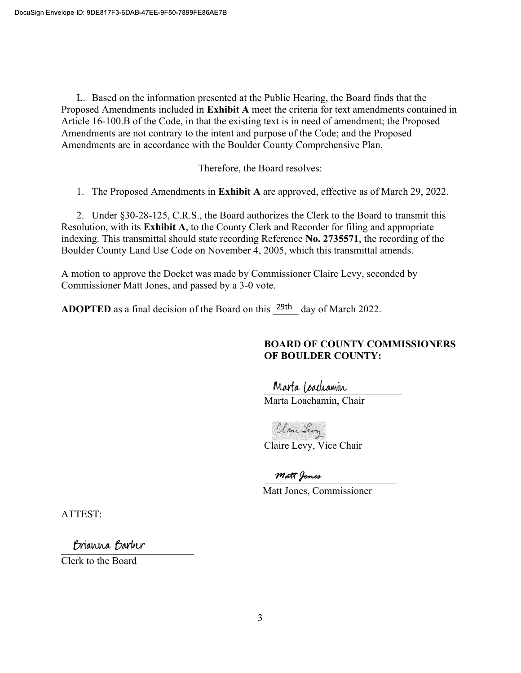L. Based on the information presented at the Public Hearing, the Board finds that the Proposed Amendments included in Exhibit A meet the criteria for text amendments contained in Article 16-100.B of the Code, in that the existing text is in need of amendment; the Proposed Amendments are not contrary to the intent and purpose of the Code; and the Proposed Amendments are in accordance with the Boulder County Comprehensive Plan.

### Therefore, the Board resolves:

1. The Proposed Amendments in Exhibit A are approved, effective as of March 29, 2022.

2. Under §30-28-125, C.R.S., the Board authorizes the Clerk to the Board to transmit this Resolution, with its Exhibit A, to the County Clerk and Recorder for filing and appropriate indexing. This transmittal should state recording Reference No. 2735571, the recording of the Boulder County Land Use Code on November 4, 2005, which this transmittal amends.

A motion to approve the Docket was made by Commissioner Claire Levy, seconded by Commissioner Matt Jones, and passed by a 3-0 vote.

**ADOPTED** as a final decision of the Board on this  $^{29th}$  day of March 2022.

## BOARD OF COUNTY COMMISSIONERS OF BOULDER COUNTY:

Marta Loachamin

Marta Loachamin, Chair

\_\_\_\_\_\_\_\_\_\_\_\_\_\_\_\_\_\_\_\_\_\_\_\_\_\_\_

Claire Levy, Vice Chair

matt Jones

Matt Jones, Commissioner

ATTEST:

Brianna Barber

Clerk to the Board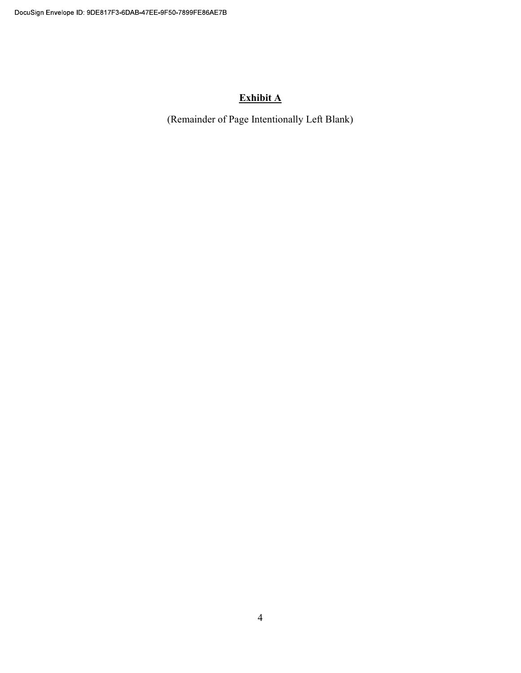# Exhibit A

(Remainder of Page Intentionally Left Blank)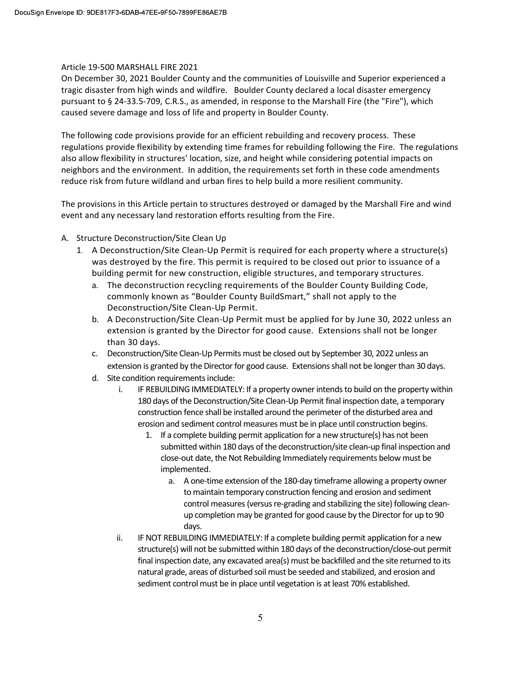#### Article 19-500 MARSHALL FIRE 2021

On December 30, 2021 Boulder County and the communities of Louisville and Superior experienced a tragic disaster from high winds and wildfire. Boulder County declared a local disaster emergency pursuant to § 24-33.5-709, C.R.S., as amended, in response to the Marshall Fire (the "Fire"), which caused severe damage and loss of life and property in Boulder County.

The following code provisions provide for an efficient rebuilding and recovery process. These regulations provide flexibility by extending time frames for rebuilding following the Fire. The regulations also allow flexibility in structures' location, size, and height while considering potential impacts on neighbors and the environment. In addition, the requirements set forth in these code amendments reduce risk from future wildland and urban fires to help build a more resilient community.

The provisions in this Article pertain to structures destroyed or damaged by the Marshall Fire and wind event and any necessary land restoration efforts resulting from the Fire.

- A. Structure Deconstruction/Site Clean Up
	- 1. A Deconstruction/Site Clean-Up Permit is required for each property where a structure(s) was destroyed by the fire. This permit is required to be closed out prior to issuance of a building permit for new construction, eligible structures, and temporary structures.
		- a. The deconstruction recycling requirements of the Boulder County Building Code, commonly known as "Boulder County BuildSmart," shall not apply to the Deconstruction/Site Clean-Up Permit.
		- b. A Deconstruction/Site Clean-Up Permit must be applied for by June 30, 2022 unless an extension is granted by the Director for good cause. Extensions shall not be longer than 30 days.
		- c. Deconstruction/Site Clean-Up Permits must be closed out by September 30, 2022 unless an extension is granted by the Director for good cause. Extensions shall not be longer than 30 days.
		- d. Site condition requirements include:
			- i. IF REBUILDING IMMEDIATELY: If a property owner intends to build on the property within 180 days of the Deconstruction/Site Clean-Up Permit final inspection date, a temporary construction fence shall be installed around the perimeter of the disturbed area and erosion and sediment control measures must be in place until construction begins.
				- 1. If a complete building permit application for a new structure(s) has not been submitted within 180 days of the deconstruction/site clean-up final inspection and close-out date, the Not Rebuilding Immediately requirements below must be implemented.
					- a. A one-time extension of the 180-day timeframe allowing a property owner to maintain temporary construction fencing and erosion and sediment control measures (versus re-grading and stabilizing the site) following cleanup completion may be granted for good cause by the Director for up to 90 days.
			- ii. IF NOT REBUILDING IMMEDIATELY: If a complete building permit application for a new structure(s) will not be submitted within 180 days of the deconstruction/close-out permit final inspection date, any excavated area(s) must be backfilled and the site returned to its natural grade, areas of disturbed soil must be seeded and stabilized, and erosion and sediment control must be in place until vegetation is at least 70% established.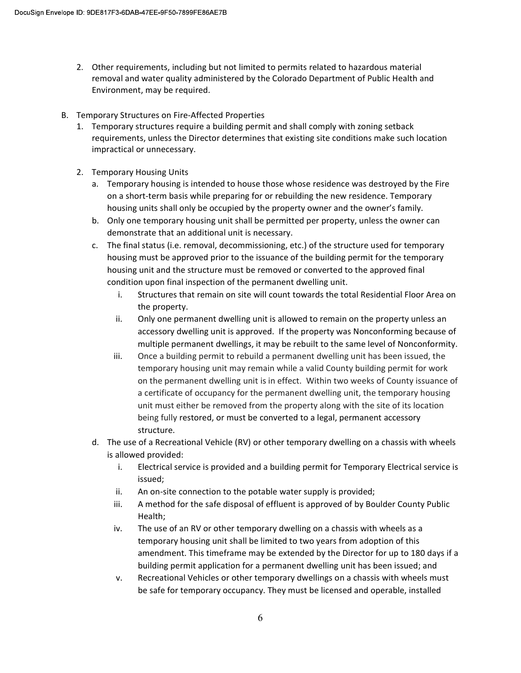- 2. Other requirements, including but not limited to permits related to hazardous material removal and water quality administered by the Colorado Department of Public Health and Environment, may be required.
- B. Temporary Structures on Fire-Affected Properties
	- 1. Temporary structures require a building permit and shall comply with zoning setback requirements, unless the Director determines that existing site conditions make such location impractical or unnecessary.
	- 2. Temporary Housing Units
		- a. Temporary housing is intended to house those whose residence was destroyed by the Fire on a short-term basis while preparing for or rebuilding the new residence. Temporary housing units shall only be occupied by the property owner and the owner's family.
		- b. Only one temporary housing unit shall be permitted per property, unless the owner can demonstrate that an additional unit is necessary.
		- c. The final status (i.e. removal, decommissioning, etc.) of the structure used for temporary housing must be approved prior to the issuance of the building permit for the temporary housing unit and the structure must be removed or converted to the approved final condition upon final inspection of the permanent dwelling unit.
			- i. Structures that remain on site will count towards the total Residential Floor Area on the property.
			- ii. Only one permanent dwelling unit is allowed to remain on the property unless an accessory dwelling unit is approved. If the property was Nonconforming because of multiple permanent dwellings, it may be rebuilt to the same level of Nonconformity.
			- iii. Once a building permit to rebuild a permanent dwelling unit has been issued, the temporary housing unit may remain while a valid County building permit for work on the permanent dwelling unit is in effect. Within two weeks of County issuance of a certificate of occupancy for the permanent dwelling unit, the temporary housing unit must either be removed from the property along with the site of its location being fully restored, or must be converted to a legal, permanent accessory structure.
		- d. The use of a Recreational Vehicle (RV) or other temporary dwelling on a chassis with wheels is allowed provided:
			- i. Electrical service is provided and a building permit for Temporary Electrical service is issued;
			- ii. An on-site connection to the potable water supply is provided;
			- iii. A method for the safe disposal of effluent is approved of by Boulder County Public Health;
			- iv. The use of an RV or other temporary dwelling on a chassis with wheels as a temporary housing unit shall be limited to two years from adoption of this amendment. This timeframe may be extended by the Director for up to 180 days if a building permit application for a permanent dwelling unit has been issued; and
			- v. Recreational Vehicles or other temporary dwellings on a chassis with wheels must be safe for temporary occupancy. They must be licensed and operable, installed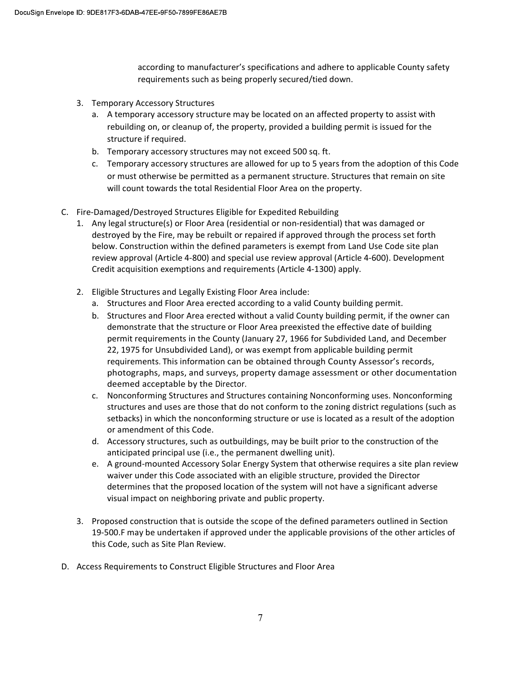according to manufacturer's specifications and adhere to applicable County safety requirements such as being properly secured/tied down.

- 3. Temporary Accessory Structures
	- a. A temporary accessory structure may be located on an affected property to assist with rebuilding on, or cleanup of, the property, provided a building permit is issued for the structure if required.
	- b. Temporary accessory structures may not exceed 500 sq. ft.
	- c. Temporary accessory structures are allowed for up to 5 years from the adoption of this Code or must otherwise be permitted as a permanent structure. Structures that remain on site will count towards the total Residential Floor Area on the property.
- C. Fire-Damaged/Destroyed Structures Eligible for Expedited Rebuilding
	- 1. Any legal structure(s) or Floor Area (residential or non-residential) that was damaged or destroyed by the Fire, may be rebuilt or repaired if approved through the process set forth below. Construction within the defined parameters is exempt from Land Use Code site plan review approval (Article 4-800) and special use review approval (Article 4-600). Development Credit acquisition exemptions and requirements (Article 4-1300) apply.
	- 2. Eligible Structures and Legally Existing Floor Area include:
		- a. Structures and Floor Area erected according to a valid County building permit.
		- b. Structures and Floor Area erected without a valid County building permit, if the owner can demonstrate that the structure or Floor Area preexisted the effective date of building permit requirements in the County (January 27, 1966 for Subdivided Land, and December 22, 1975 for Unsubdivided Land), or was exempt from applicable building permit requirements. This information can be obtained through County Assessor's records, photographs, maps, and surveys, property damage assessment or other documentation deemed acceptable by the Director.
		- c. Nonconforming Structures and Structures containing Nonconforming uses. Nonconforming structures and uses are those that do not conform to the zoning district regulations (such as setbacks) in which the nonconforming structure or use is located as a result of the adoption or amendment of this Code.
		- d. Accessory structures, such as outbuildings, may be built prior to the construction of the anticipated principal use (i.e., the permanent dwelling unit).
		- e. A ground-mounted Accessory Solar Energy System that otherwise requires a site plan review waiver under this Code associated with an eligible structure, provided the Director determines that the proposed location of the system will not have a significant adverse visual impact on neighboring private and public property.
	- 3. Proposed construction that is outside the scope of the defined parameters outlined in Section 19-500.F may be undertaken if approved under the applicable provisions of the other articles of this Code, such as Site Plan Review.
- D. Access Requirements to Construct Eligible Structures and Floor Area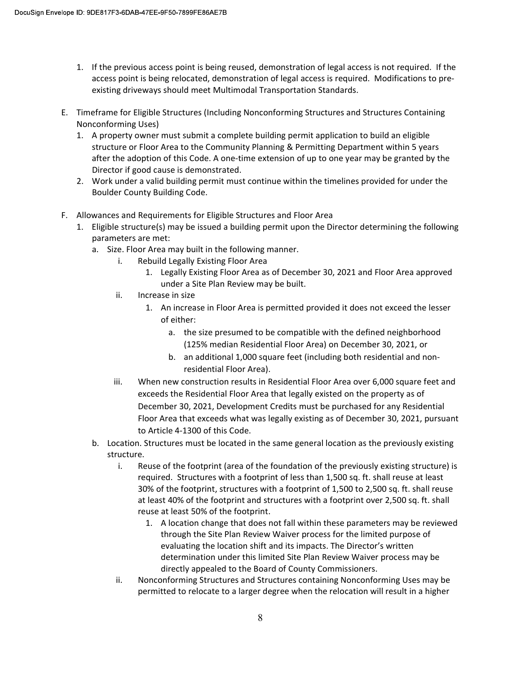- 1. If the previous access point is being reused, demonstration of legal access is not required. If the access point is being relocated, demonstration of legal access is required. Modifications to preexisting driveways should meet Multimodal Transportation Standards.
- E. Timeframe for Eligible Structures (Including Nonconforming Structures and Structures Containing Nonconforming Uses)
	- 1. A property owner must submit a complete building permit application to build an eligible structure or Floor Area to the Community Planning & Permitting Department within 5 years after the adoption of this Code. A one-time extension of up to one year may be granted by the Director if good cause is demonstrated.
	- 2. Work under a valid building permit must continue within the timelines provided for under the Boulder County Building Code.
- F. Allowances and Requirements for Eligible Structures and Floor Area
	- 1. Eligible structure(s) may be issued a building permit upon the Director determining the following parameters are met:
		- a. Size. Floor Area may built in the following manner.
			- i. Rebuild Legally Existing Floor Area
				- 1. Legally Existing Floor Area as of December 30, 2021 and Floor Area approved under a Site Plan Review may be built.
			- ii. Increase in size
				- 1. An increase in Floor Area is permitted provided it does not exceed the lesser of either:
					- a. the size presumed to be compatible with the defined neighborhood (125% median Residential Floor Area) on December 30, 2021, or
					- b. an additional 1,000 square feet (including both residential and nonresidential Floor Area).
			- iii. When new construction results in Residential Floor Area over 6,000 square feet and exceeds the Residential Floor Area that legally existed on the property as of December 30, 2021, Development Credits must be purchased for any Residential Floor Area that exceeds what was legally existing as of December 30, 2021, pursuant to Article 4-1300 of this Code.
		- b. Location. Structures must be located in the same general location as the previously existing structure.
			- i. Reuse of the footprint (area of the foundation of the previously existing structure) is required. Structures with a footprint of less than 1,500 sq. ft. shall reuse at least 30% of the footprint, structures with a footprint of 1,500 to 2,500 sq. ft. shall reuse at least 40% of the footprint and structures with a footprint over 2,500 sq. ft. shall reuse at least 50% of the footprint.
				- 1. A location change that does not fall within these parameters may be reviewed through the Site Plan Review Waiver process for the limited purpose of evaluating the location shift and its impacts. The Director's written determination under this limited Site Plan Review Waiver process may be directly appealed to the Board of County Commissioners.
			- ii. Nonconforming Structures and Structures containing Nonconforming Uses may be permitted to relocate to a larger degree when the relocation will result in a higher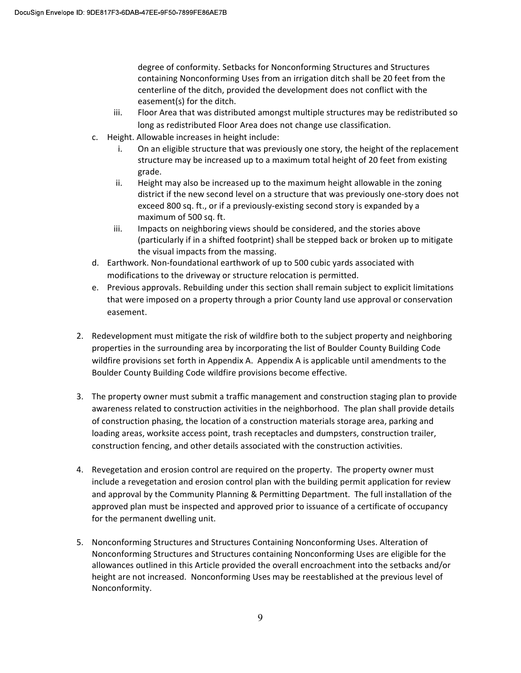degree of conformity. Setbacks for Nonconforming Structures and Structures containing Nonconforming Uses from an irrigation ditch shall be 20 feet from the centerline of the ditch, provided the development does not conflict with the easement(s) for the ditch.

- iii. Floor Area that was distributed amongst multiple structures may be redistributed so long as redistributed Floor Area does not change use classification.
- c. Height. Allowable increases in height include:
	- i. On an eligible structure that was previously one story, the height of the replacement structure may be increased up to a maximum total height of 20 feet from existing grade.
	- ii. Height may also be increased up to the maximum height allowable in the zoning district if the new second level on a structure that was previously one-story does not exceed 800 sq. ft., or if a previously-existing second story is expanded by a maximum of 500 sq. ft.
	- iii. Impacts on neighboring views should be considered, and the stories above (particularly if in a shifted footprint) shall be stepped back or broken up to mitigate the visual impacts from the massing.
- d. Earthwork. Non-foundational earthwork of up to 500 cubic yards associated with modifications to the driveway or structure relocation is permitted.
- e. Previous approvals. Rebuilding under this section shall remain subject to explicit limitations that were imposed on a property through a prior County land use approval or conservation easement.
- 2. Redevelopment must mitigate the risk of wildfire both to the subject property and neighboring properties in the surrounding area by incorporating the list of Boulder County Building Code wildfire provisions set forth in Appendix A. Appendix A is applicable until amendments to the Boulder County Building Code wildfire provisions become effective.
- 3. The property owner must submit a traffic management and construction staging plan to provide awareness related to construction activities in the neighborhood. The plan shall provide details of construction phasing, the location of a construction materials storage area, parking and loading areas, worksite access point, trash receptacles and dumpsters, construction trailer, construction fencing, and other details associated with the construction activities.
- 4. Revegetation and erosion control are required on the property. The property owner must include a revegetation and erosion control plan with the building permit application for review and approval by the Community Planning & Permitting Department. The full installation of the approved plan must be inspected and approved prior to issuance of a certificate of occupancy for the permanent dwelling unit.
- 5. Nonconforming Structures and Structures Containing Nonconforming Uses. Alteration of Nonconforming Structures and Structures containing Nonconforming Uses are eligible for the allowances outlined in this Article provided the overall encroachment into the setbacks and/or height are not increased. Nonconforming Uses may be reestablished at the previous level of Nonconformity.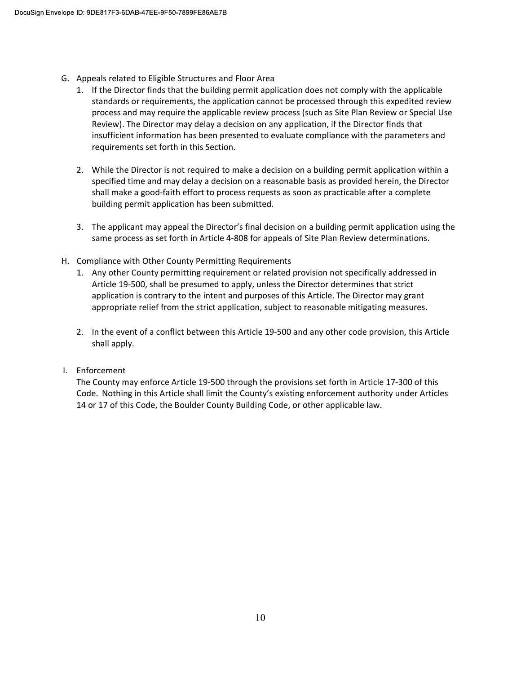- G. Appeals related to Eligible Structures and Floor Area
	- 1. If the Director finds that the building permit application does not comply with the applicable standards or requirements, the application cannot be processed through this expedited review process and may require the applicable review process (such as Site Plan Review or Special Use Review). The Director may delay a decision on any application, if the Director finds that insufficient information has been presented to evaluate compliance with the parameters and requirements set forth in this Section.
	- 2. While the Director is not required to make a decision on a building permit application within a specified time and may delay a decision on a reasonable basis as provided herein, the Director shall make a good-faith effort to process requests as soon as practicable after a complete building permit application has been submitted.
	- 3. The applicant may appeal the Director's final decision on a building permit application using the same process as set forth in Article 4-808 for appeals of Site Plan Review determinations.
- H. Compliance with Other County Permitting Requirements
	- 1. Any other County permitting requirement or related provision not specifically addressed in Article 19-500, shall be presumed to apply, unless the Director determines that strict application is contrary to the intent and purposes of this Article. The Director may grant appropriate relief from the strict application, subject to reasonable mitigating measures.
	- 2. In the event of a conflict between this Article 19-500 and any other code provision, this Article shall apply.
- I. Enforcement

The County may enforce Article 19-500 through the provisions set forth in Article 17-300 of this Code. Nothing in this Article shall limit the County's existing enforcement authority under Articles 14 or 17 of this Code, the Boulder County Building Code, or other applicable law.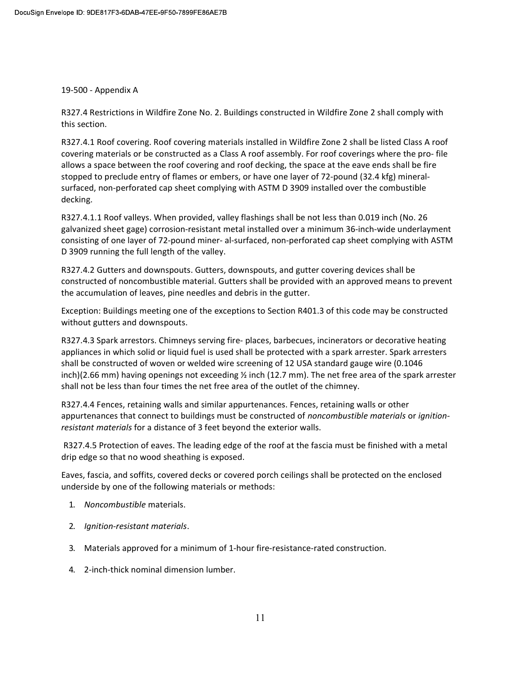#### 19-500 - Appendix A

R327.4 Restrictions in Wildfire Zone No. 2. Buildings constructed in Wildfire Zone 2 shall comply with this section.

R327.4.1 Roof covering. Roof covering materials installed in Wildfire Zone 2 shall be listed Class A roof covering materials or be constructed as a Class A roof assembly. For roof coverings where the pro- file allows a space between the roof covering and roof decking, the space at the eave ends shall be fire stopped to preclude entry of flames or embers, or have one layer of 72-pound (32.4 kfg) mineralsurfaced, non-perforated cap sheet complying with ASTM D 3909 installed over the combustible decking.

R327.4.1.1 Roof valleys. When provided, valley flashings shall be not less than 0.019 inch (No. 26 galvanized sheet gage) corrosion-resistant metal installed over a minimum 36-inch-wide underlayment consisting of one layer of 72-pound miner- al-surfaced, non-perforated cap sheet complying with ASTM D 3909 running the full length of the valley.

R327.4.2 Gutters and downspouts. Gutters, downspouts, and gutter covering devices shall be constructed of noncombustible material. Gutters shall be provided with an approved means to prevent the accumulation of leaves, pine needles and debris in the gutter.

Exception: Buildings meeting one of the exceptions to Section R401.3 of this code may be constructed without gutters and downspouts.

R327.4.3 Spark arrestors. Chimneys serving fire- places, barbecues, incinerators or decorative heating appliances in which solid or liquid fuel is used shall be protected with a spark arrester. Spark arresters shall be constructed of woven or welded wire screening of 12 USA standard gauge wire (0.1046 inch)(2.66 mm) having openings not exceeding ½ inch (12.7 mm). The net free area of the spark arrester shall not be less than four times the net free area of the outlet of the chimney.

R327.4.4 Fences, retaining walls and similar appurtenances. Fences, retaining walls or other appurtenances that connect to buildings must be constructed of noncombustible materials or ignitionresistant materials for a distance of 3 feet beyond the exterior walls.

 R327.4.5 Protection of eaves. The leading edge of the roof at the fascia must be finished with a metal drip edge so that no wood sheathing is exposed.

Eaves, fascia, and soffits, covered decks or covered porch ceilings shall be protected on the enclosed underside by one of the following materials or methods:

- 1. Noncombustible materials.
- 2. Ignition-resistant materials.
- 3. Materials approved for a minimum of 1-hour fire-resistance-rated construction.
- 4. 2-inch-thick nominal dimension lumber.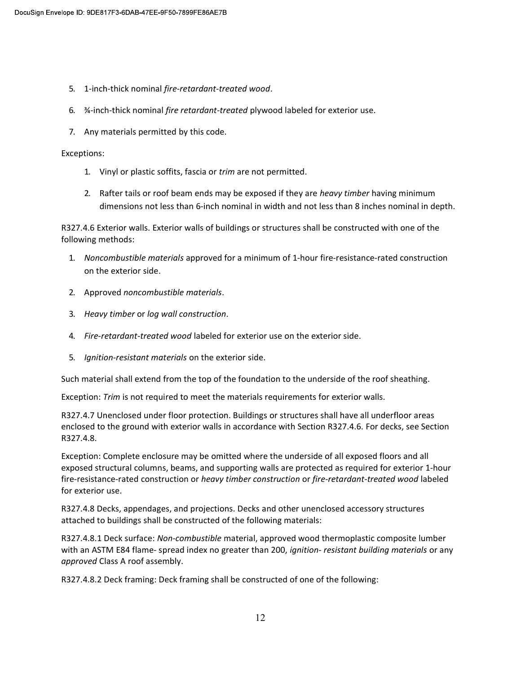- 5. 1-inch-thick nominal fire-retardant-treated wood.
- 6. ¾-inch-thick nominal fire retardant-treated plywood labeled for exterior use.
- 7. Any materials permitted by this code.

#### Exceptions:

- 1. Vinyl or plastic soffits, fascia or trim are not permitted.
- 2. Rafter tails or roof beam ends may be exposed if they are heavy timber having minimum dimensions not less than 6-inch nominal in width and not less than 8 inches nominal in depth.

R327.4.6 Exterior walls. Exterior walls of buildings or structures shall be constructed with one of the following methods:

- 1. Noncombustible materials approved for a minimum of 1-hour fire-resistance-rated construction on the exterior side.
- 2. Approved noncombustible materials.
- 3. Heavy timber or log wall construction.
- 4. Fire-retardant-treated wood labeled for exterior use on the exterior side.
- 5. Ignition-resistant materials on the exterior side.

Such material shall extend from the top of the foundation to the underside of the roof sheathing.

Exception: Trim is not required to meet the materials requirements for exterior walls.

R327.4.7 Unenclosed under floor protection. Buildings or structures shall have all underfloor areas enclosed to the ground with exterior walls in accordance with Section R327.4.6. For decks, see Section R327.4.8.

Exception: Complete enclosure may be omitted where the underside of all exposed floors and all exposed structural columns, beams, and supporting walls are protected as required for exterior 1-hour fire-resistance-rated construction or heavy timber construction or fire-retardant-treated wood labeled for exterior use.

R327.4.8 Decks, appendages, and projections. Decks and other unenclosed accessory structures attached to buildings shall be constructed of the following materials:

R327.4.8.1 Deck surface: Non-combustible material, approved wood thermoplastic composite lumber with an ASTM E84 flame- spread index no greater than 200, ignition- resistant building materials or any approved Class A roof assembly.

R327.4.8.2 Deck framing: Deck framing shall be constructed of one of the following: